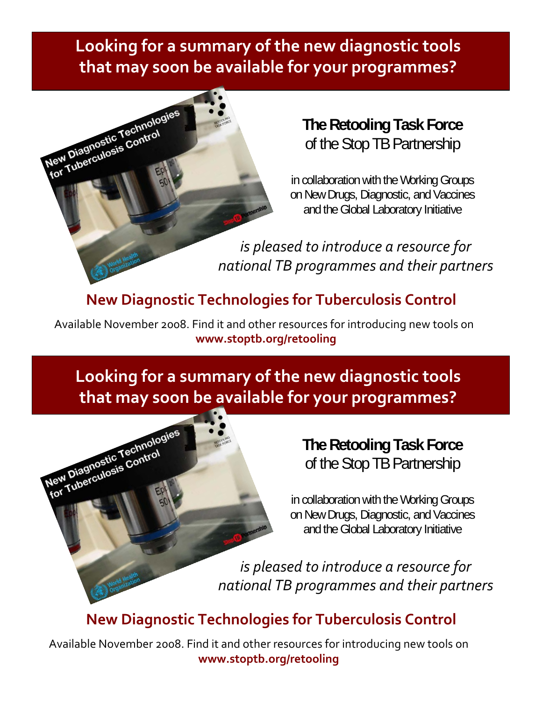**Looking for a summary of the new diagnostic tools that may soon be available for your programmes?**



**The Retooling Task Force** of the Stop TB Partnership

in collaboration with the Working Groups on New Drugs, Diagnostic, and Vaccines and the Global Laboratory Initiative

*is pleased to introduce a resource for national TB programmes and their partners*

## **New Diagnostic Technologies for Tuberculosis Control**

Available November 2008. Find it and other resources for introducing new tools on **www.stoptb.org/retooling**